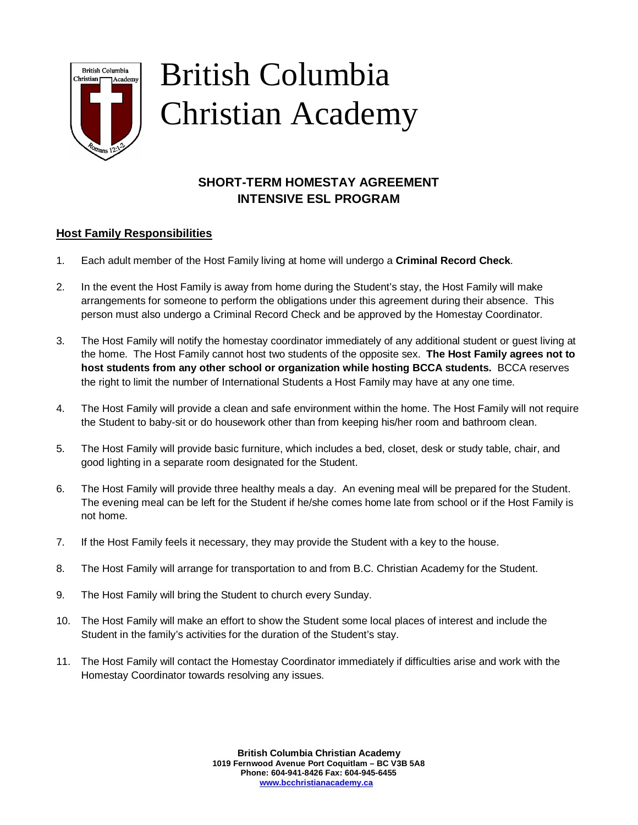

# British Columbia Christian Academy

# **SHORT-TERM HOMESTAY AGREEMENT INTENSIVE ESL PROGRAM**

## **Host Family Responsibilities**

- 1. Each adult member of the Host Family living at home will undergo a **Criminal Record Check**.
- 2. In the event the Host Family is away from home during the Student's stay, the Host Family will make arrangements for someone to perform the obligations under this agreement during their absence. This person must also undergo a Criminal Record Check and be approved by the Homestay Coordinator.
- 3. The Host Family will notify the homestay coordinator immediately of any additional student or guest living at the home. The Host Family cannot host two students of the opposite sex. **The Host Family agrees not to host students from any other school or organization while hosting BCCA students.** BCCA reserves the right to limit the number of International Students a Host Family may have at any one time.
- 4. The Host Family will provide a clean and safe environment within the home. The Host Family will not require the Student to baby-sit or do housework other than from keeping his/her room and bathroom clean.
- 5. The Host Family will provide basic furniture, which includes a bed, closet, desk or study table, chair, and good lighting in a separate room designated for the Student.
- 6. The Host Family will provide three healthy meals a day. An evening meal will be prepared for the Student. The evening meal can be left for the Student if he/she comes home late from school or if the Host Family is not home.
- 7. If the Host Family feels it necessary, they may provide the Student with a key to the house.
- 8. The Host Family will arrange for transportation to and from B.C. Christian Academy for the Student.
- 9. The Host Family will bring the Student to church every Sunday.
- 10. The Host Family will make an effort to show the Student some local places of interest and include the Student in the family's activities for the duration of the Student's stay.
- 11. The Host Family will contact the Homestay Coordinator immediately if difficulties arise and work with the Homestay Coordinator towards resolving any issues.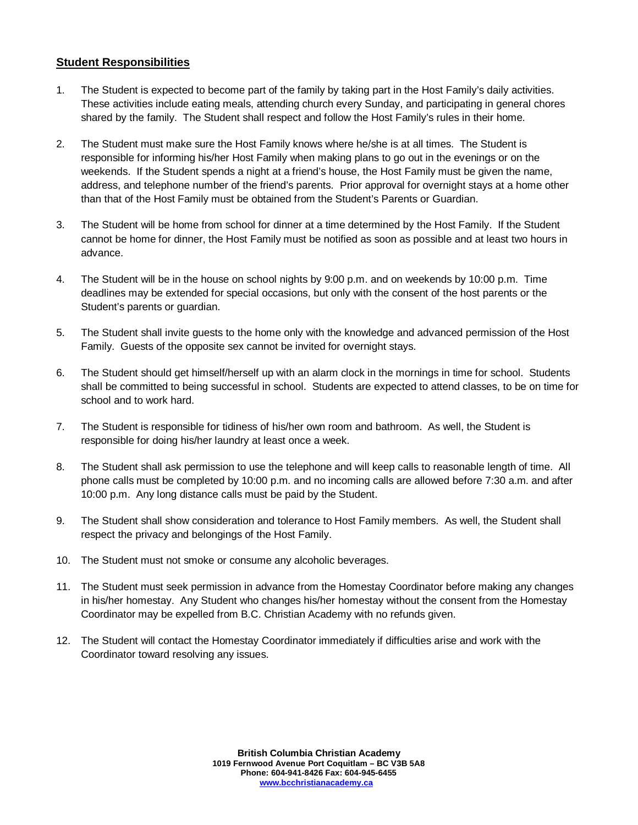## **Student Responsibilities**

- 1. The Student is expected to become part of the family by taking part in the Host Family's daily activities. These activities include eating meals, attending church every Sunday, and participating in general chores shared by the family. The Student shall respect and follow the Host Family's rules in their home.
- 2. The Student must make sure the Host Family knows where he/she is at all times. The Student is responsible for informing his/her Host Family when making plans to go out in the evenings or on the weekends. If the Student spends a night at a friend's house, the Host Family must be given the name, address, and telephone number of the friend's parents. Prior approval for overnight stays at a home other than that of the Host Family must be obtained from the Student's Parents or Guardian.
- 3. The Student will be home from school for dinner at a time determined by the Host Family. If the Student cannot be home for dinner, the Host Family must be notified as soon as possible and at least two hours in advance.
- 4. The Student will be in the house on school nights by 9:00 p.m. and on weekends by 10:00 p.m. Time deadlines may be extended for special occasions, but only with the consent of the host parents or the Student's parents or guardian.
- 5. The Student shall invite guests to the home only with the knowledge and advanced permission of the Host Family. Guests of the opposite sex cannot be invited for overnight stays.
- 6. The Student should get himself/herself up with an alarm clock in the mornings in time for school. Students shall be committed to being successful in school. Students are expected to attend classes, to be on time for school and to work hard.
- 7. The Student is responsible for tidiness of his/her own room and bathroom. As well, the Student is responsible for doing his/her laundry at least once a week.
- 8. The Student shall ask permission to use the telephone and will keep calls to reasonable length of time. All phone calls must be completed by 10:00 p.m. and no incoming calls are allowed before 7:30 a.m. and after 10:00 p.m. Any long distance calls must be paid by the Student.
- 9. The Student shall show consideration and tolerance to Host Family members. As well, the Student shall respect the privacy and belongings of the Host Family.
- 10. The Student must not smoke or consume any alcoholic beverages.
- 11. The Student must seek permission in advance from the Homestay Coordinator before making any changes in his/her homestay. Any Student who changes his/her homestay without the consent from the Homestay Coordinator may be expelled from B.C. Christian Academy with no refunds given.
- 12. The Student will contact the Homestay Coordinator immediately if difficulties arise and work with the Coordinator toward resolving any issues.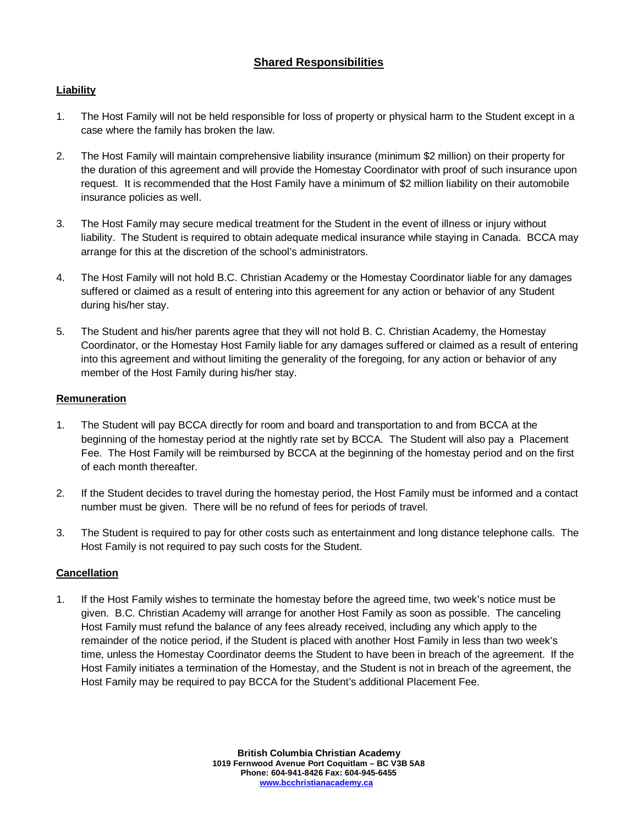## **Shared Responsibilities**

## **Liability**

- 1. The Host Family will not be held responsible for loss of property or physical harm to the Student except in a case where the family has broken the law.
- 2. The Host Family will maintain comprehensive liability insurance (minimum \$2 million) on their property for the duration of this agreement and will provide the Homestay Coordinator with proof of such insurance upon request. It is recommended that the Host Family have a minimum of \$2 million liability on their automobile insurance policies as well.
- 3. The Host Family may secure medical treatment for the Student in the event of illness or injury without liability. The Student is required to obtain adequate medical insurance while staying in Canada. BCCA may arrange for this at the discretion of the school's administrators.
- 4. The Host Family will not hold B.C. Christian Academy or the Homestay Coordinator liable for any damages suffered or claimed as a result of entering into this agreement for any action or behavior of any Student during his/her stay.
- 5. The Student and his/her parents agree that they will not hold B. C. Christian Academy, the Homestay Coordinator, or the Homestay Host Family liable for any damages suffered or claimed as a result of entering into this agreement and without limiting the generality of the foregoing, for any action or behavior of any member of the Host Family during his/her stay.

#### **Remuneration**

- 1. The Student will pay BCCA directly for room and board and transportation to and from BCCA at the beginning of the homestay period at the nightly rate set by BCCA. The Student will also pay a Placement Fee. The Host Family will be reimbursed by BCCA at the beginning of the homestay period and on the first of each month thereafter.
- 2. If the Student decides to travel during the homestay period, the Host Family must be informed and a contact number must be given. There will be no refund of fees for periods of travel.
- 3. The Student is required to pay for other costs such as entertainment and long distance telephone calls. The Host Family is not required to pay such costs for the Student.

#### **Cancellation**

1. If the Host Family wishes to terminate the homestay before the agreed time, two week's notice must be given. B.C. Christian Academy will arrange for another Host Family as soon as possible. The canceling Host Family must refund the balance of any fees already received, including any which apply to the remainder of the notice period, if the Student is placed with another Host Family in less than two week's time, unless the Homestay Coordinator deems the Student to have been in breach of the agreement. If the Host Family initiates a termination of the Homestay, and the Student is not in breach of the agreement, the Host Family may be required to pay BCCA for the Student's additional Placement Fee.